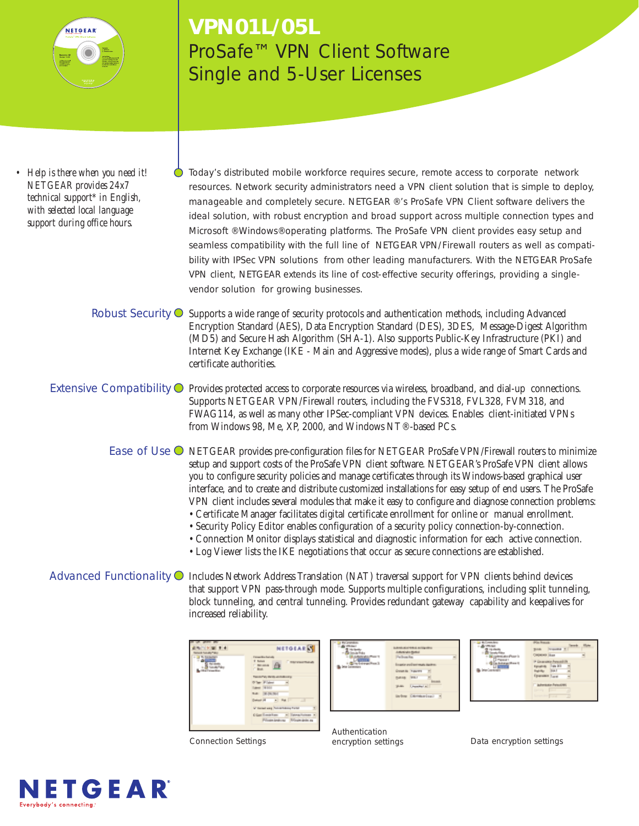

# **VPN01L/05L** ProSafe™ VPN Client Software Single and 5-User Licenses

*• Help is there when you need it! NETGEAR provides 24x7 technical support\* in English, with selected local language support during office hours.*

Today's distributed mobile workforce requires secure, remote access to corporate network resources. Network security administrators need a VPN client solution that is simple to deploy, manageable and completely secure. NETGEAR ®'s ProSafe VPN Client software delivers the ideal solution, with robust encryption and broad support across multiple connection types and Microsoft ®Windows®operating platforms. The ProSafe VPN client provides easy setup and seamless compatibility with the full line of NETGEAR VPN/Firewall routers as well as compatibility with IPSec VPN solutions from other leading manufacturers. With the NETGEAR ProSafe VPN client, NETGEAR extends its line of cost-effective security offerings, providing a singlevendor solution for growing businesses.

- Robust Security  $\bigcirc$  Supports a wide range of security protocols and authentication methods, including Advanced Encryption Standard (AES), Data Encryption Standard (DES), 3DES, Message-Digest Algorithm (MD5) and Secure Hash Algorithm (SHA-1). Also supports Public-Key Infrastructure (PKI) and Internet Key Exchange (IKE - Main and Aggressive modes), plus a wide range of Smart Cards and certificate authorities.
- Extensive Compatibility  $\bigcirc$  Provides protected access to corporate resources via wireless, broadband, and dial-up connections. Supports NETGEAR VPN/Firewall routers, including the FVS318, FVL328, FVM318, and FWAG114, as well as many other IPSec-compliant VPN devices. Enables client-initiated VPNs from Windows 98, Me, XP, 2000, and Windows NT®-based PCs.
	- Ease of Use  $\bigcirc$  NETGEAR provides pre-configuration files for NETGEAR ProSafe VPN/Firewall routers to minimize setup and support costs of the ProSafe VPN client software. NETGEAR's ProSafe VPN client allows you to configure security policies and manage certificates through its Windows-based graphical user interface, and to create and distribute customized installations for easy setup of end users. The ProSafe VPN client includes several modules that make it easy to configure and diagnose connection problems:
		- Certificate Manager facilitates digital certificate enrollment for online or manual enrollment.
		- Security Policy Editor enables configuration of a security policy connection-by-connection. • Connection Monitor displays statistical and diagnostic information for each active connection.
		- Log Viewer lists the IKE negotiations that occur as secure connections are established.
- Advanced Functionality  $\bigcirc$  Includes Network Address Translation (NAT) traversal support for VPN clients behind devices that support VPN pass-through mode. Supports multiple configurations, including split tunneling, block tunneling, and central tunneling. Provides redundant gateway capability and keepalives for increased reliability.

|                        | <b>NETOEARS</b>                                                                                         |
|------------------------|---------------------------------------------------------------------------------------------------------|
| <b>Hart Street Eng</b> | <b>Three Richards</b><br>If Roman<br><b>Convention</b><br>mone (4)<br>C. Book                           |
|                        | Tel: 67W William Administration<br><b>S'ler Flater</b><br><b>Lakest 14 Links</b><br><b>NAT DESK NAT</b> |
|                        | Detect (4 - 1 - Pat 11)<br>W benefices Asketbaug fund                                                   |
|                        | Class Emailence and<br>Private Androny Arizon della ag-                                                 |

| LANGUAY 1991<br>A Markington Markins<br><b>Parliamentos</b>                                                 |
|-------------------------------------------------------------------------------------------------------------|
| Expelies and learnings<br>Great is Traums<br>passa Ins.<br><b>Usedial al</b><br>35.00c<br>living Carmanisa) |
|                                                                                                             |



Authentication encryption settings

Connection Settings **Data encryption settings** Data encryption settings